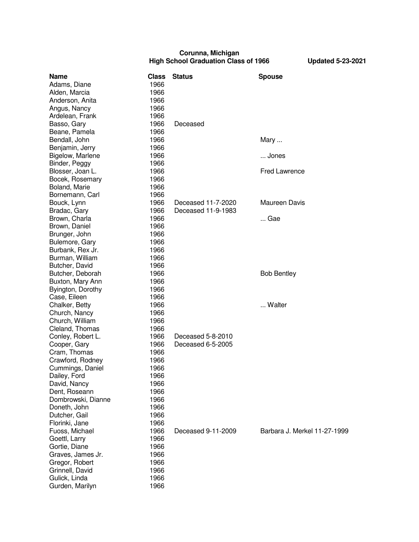## **Corunna, Michigan High School Graduation Class of 1966 Updated 5-23-2021**

| 1966<br>1966<br>1966<br>1966<br>1966<br>Deceased<br>1966<br>1966<br>Bendall, John<br>1966<br>Mary<br>Benjamin, Jerry<br>1966<br>Bigelow, Marlene<br>1966<br>Jones<br>Binder, Peggy<br>1966<br><b>Fred Lawrence</b><br>Blosser, Joan L.<br>1966<br>Bocek, Rosemary<br>1966<br>1966<br>Boland, Marie<br>Bornemann, Carl<br>1966<br><b>Maureen Davis</b><br>Bouck, Lynn<br>1966<br>Deceased 11-7-2020<br>1966<br>Deceased 11-9-1983<br>Bradac, Gary<br>Brown, Charla<br>1966<br>Gae<br>Brown, Daniel<br>1966<br>1966<br>Brunger, John<br>Bulemore, Gary<br>1966<br>Burbank, Rex Jr.<br>1966<br>Burman, William<br>1966<br>Butcher, David<br>1966<br>Butcher, Deborah<br>1966<br><b>Bob Bentley</b><br>Buxton, Mary Ann<br>1966<br>Byington, Dorothy<br>1966<br>Case, Eileen<br>1966<br>Walter<br>1966<br>Chalker, Betty<br>Church, Nancy<br>1966<br>1966<br>Church, William<br>Cleland, Thomas<br>1966<br>Deceased 5-8-2010<br>Conley, Robert L.<br>1966<br>Cooper, Gary<br>1966<br>Deceased 6-5-2005<br>1966<br>Cram, Thomas<br>Crawford, Rodney<br>1966<br>Cummings, Daniel<br>1966<br>Dailey, Ford<br>1966<br>David, Nancy<br>1966<br>1966<br>Dombrowski, Dianne<br>1966<br>1966<br>1966<br>1966<br>1966<br>Deceased 9-11-2009<br>Barbara J. Merkel 11-27-1999<br>Fuoss, Michael<br>1966<br>Goettl, Larry<br>1966<br>1966<br>1966<br>1966<br>1966 | <b>Name</b>       | <b>Class</b> | <b>Status</b> | <b>Spouse</b> |
|---------------------------------------------------------------------------------------------------------------------------------------------------------------------------------------------------------------------------------------------------------------------------------------------------------------------------------------------------------------------------------------------------------------------------------------------------------------------------------------------------------------------------------------------------------------------------------------------------------------------------------------------------------------------------------------------------------------------------------------------------------------------------------------------------------------------------------------------------------------------------------------------------------------------------------------------------------------------------------------------------------------------------------------------------------------------------------------------------------------------------------------------------------------------------------------------------------------------------------------------------------------------------------------------------------------------------------------------------|-------------------|--------------|---------------|---------------|
|                                                                                                                                                                                                                                                                                                                                                                                                                                                                                                                                                                                                                                                                                                                                                                                                                                                                                                                                                                                                                                                                                                                                                                                                                                                                                                                                                   | Adams, Diane      |              |               |               |
|                                                                                                                                                                                                                                                                                                                                                                                                                                                                                                                                                                                                                                                                                                                                                                                                                                                                                                                                                                                                                                                                                                                                                                                                                                                                                                                                                   | Alden, Marcia     |              |               |               |
|                                                                                                                                                                                                                                                                                                                                                                                                                                                                                                                                                                                                                                                                                                                                                                                                                                                                                                                                                                                                                                                                                                                                                                                                                                                                                                                                                   | Anderson, Anita   |              |               |               |
|                                                                                                                                                                                                                                                                                                                                                                                                                                                                                                                                                                                                                                                                                                                                                                                                                                                                                                                                                                                                                                                                                                                                                                                                                                                                                                                                                   | Angus, Nancy      |              |               |               |
|                                                                                                                                                                                                                                                                                                                                                                                                                                                                                                                                                                                                                                                                                                                                                                                                                                                                                                                                                                                                                                                                                                                                                                                                                                                                                                                                                   | Ardelean, Frank   |              |               |               |
|                                                                                                                                                                                                                                                                                                                                                                                                                                                                                                                                                                                                                                                                                                                                                                                                                                                                                                                                                                                                                                                                                                                                                                                                                                                                                                                                                   | Basso, Gary       |              |               |               |
|                                                                                                                                                                                                                                                                                                                                                                                                                                                                                                                                                                                                                                                                                                                                                                                                                                                                                                                                                                                                                                                                                                                                                                                                                                                                                                                                                   | Beane, Pamela     |              |               |               |
|                                                                                                                                                                                                                                                                                                                                                                                                                                                                                                                                                                                                                                                                                                                                                                                                                                                                                                                                                                                                                                                                                                                                                                                                                                                                                                                                                   |                   |              |               |               |
|                                                                                                                                                                                                                                                                                                                                                                                                                                                                                                                                                                                                                                                                                                                                                                                                                                                                                                                                                                                                                                                                                                                                                                                                                                                                                                                                                   |                   |              |               |               |
|                                                                                                                                                                                                                                                                                                                                                                                                                                                                                                                                                                                                                                                                                                                                                                                                                                                                                                                                                                                                                                                                                                                                                                                                                                                                                                                                                   |                   |              |               |               |
|                                                                                                                                                                                                                                                                                                                                                                                                                                                                                                                                                                                                                                                                                                                                                                                                                                                                                                                                                                                                                                                                                                                                                                                                                                                                                                                                                   |                   |              |               |               |
|                                                                                                                                                                                                                                                                                                                                                                                                                                                                                                                                                                                                                                                                                                                                                                                                                                                                                                                                                                                                                                                                                                                                                                                                                                                                                                                                                   |                   |              |               |               |
|                                                                                                                                                                                                                                                                                                                                                                                                                                                                                                                                                                                                                                                                                                                                                                                                                                                                                                                                                                                                                                                                                                                                                                                                                                                                                                                                                   |                   |              |               |               |
|                                                                                                                                                                                                                                                                                                                                                                                                                                                                                                                                                                                                                                                                                                                                                                                                                                                                                                                                                                                                                                                                                                                                                                                                                                                                                                                                                   |                   |              |               |               |
|                                                                                                                                                                                                                                                                                                                                                                                                                                                                                                                                                                                                                                                                                                                                                                                                                                                                                                                                                                                                                                                                                                                                                                                                                                                                                                                                                   |                   |              |               |               |
|                                                                                                                                                                                                                                                                                                                                                                                                                                                                                                                                                                                                                                                                                                                                                                                                                                                                                                                                                                                                                                                                                                                                                                                                                                                                                                                                                   |                   |              |               |               |
|                                                                                                                                                                                                                                                                                                                                                                                                                                                                                                                                                                                                                                                                                                                                                                                                                                                                                                                                                                                                                                                                                                                                                                                                                                                                                                                                                   |                   |              |               |               |
|                                                                                                                                                                                                                                                                                                                                                                                                                                                                                                                                                                                                                                                                                                                                                                                                                                                                                                                                                                                                                                                                                                                                                                                                                                                                                                                                                   |                   |              |               |               |
|                                                                                                                                                                                                                                                                                                                                                                                                                                                                                                                                                                                                                                                                                                                                                                                                                                                                                                                                                                                                                                                                                                                                                                                                                                                                                                                                                   |                   |              |               |               |
|                                                                                                                                                                                                                                                                                                                                                                                                                                                                                                                                                                                                                                                                                                                                                                                                                                                                                                                                                                                                                                                                                                                                                                                                                                                                                                                                                   |                   |              |               |               |
|                                                                                                                                                                                                                                                                                                                                                                                                                                                                                                                                                                                                                                                                                                                                                                                                                                                                                                                                                                                                                                                                                                                                                                                                                                                                                                                                                   |                   |              |               |               |
|                                                                                                                                                                                                                                                                                                                                                                                                                                                                                                                                                                                                                                                                                                                                                                                                                                                                                                                                                                                                                                                                                                                                                                                                                                                                                                                                                   |                   |              |               |               |
|                                                                                                                                                                                                                                                                                                                                                                                                                                                                                                                                                                                                                                                                                                                                                                                                                                                                                                                                                                                                                                                                                                                                                                                                                                                                                                                                                   |                   |              |               |               |
|                                                                                                                                                                                                                                                                                                                                                                                                                                                                                                                                                                                                                                                                                                                                                                                                                                                                                                                                                                                                                                                                                                                                                                                                                                                                                                                                                   |                   |              |               |               |
|                                                                                                                                                                                                                                                                                                                                                                                                                                                                                                                                                                                                                                                                                                                                                                                                                                                                                                                                                                                                                                                                                                                                                                                                                                                                                                                                                   |                   |              |               |               |
|                                                                                                                                                                                                                                                                                                                                                                                                                                                                                                                                                                                                                                                                                                                                                                                                                                                                                                                                                                                                                                                                                                                                                                                                                                                                                                                                                   |                   |              |               |               |
|                                                                                                                                                                                                                                                                                                                                                                                                                                                                                                                                                                                                                                                                                                                                                                                                                                                                                                                                                                                                                                                                                                                                                                                                                                                                                                                                                   |                   |              |               |               |
|                                                                                                                                                                                                                                                                                                                                                                                                                                                                                                                                                                                                                                                                                                                                                                                                                                                                                                                                                                                                                                                                                                                                                                                                                                                                                                                                                   |                   |              |               |               |
|                                                                                                                                                                                                                                                                                                                                                                                                                                                                                                                                                                                                                                                                                                                                                                                                                                                                                                                                                                                                                                                                                                                                                                                                                                                                                                                                                   |                   |              |               |               |
|                                                                                                                                                                                                                                                                                                                                                                                                                                                                                                                                                                                                                                                                                                                                                                                                                                                                                                                                                                                                                                                                                                                                                                                                                                                                                                                                                   |                   |              |               |               |
|                                                                                                                                                                                                                                                                                                                                                                                                                                                                                                                                                                                                                                                                                                                                                                                                                                                                                                                                                                                                                                                                                                                                                                                                                                                                                                                                                   |                   |              |               |               |
|                                                                                                                                                                                                                                                                                                                                                                                                                                                                                                                                                                                                                                                                                                                                                                                                                                                                                                                                                                                                                                                                                                                                                                                                                                                                                                                                                   |                   |              |               |               |
|                                                                                                                                                                                                                                                                                                                                                                                                                                                                                                                                                                                                                                                                                                                                                                                                                                                                                                                                                                                                                                                                                                                                                                                                                                                                                                                                                   |                   |              |               |               |
|                                                                                                                                                                                                                                                                                                                                                                                                                                                                                                                                                                                                                                                                                                                                                                                                                                                                                                                                                                                                                                                                                                                                                                                                                                                                                                                                                   |                   |              |               |               |
|                                                                                                                                                                                                                                                                                                                                                                                                                                                                                                                                                                                                                                                                                                                                                                                                                                                                                                                                                                                                                                                                                                                                                                                                                                                                                                                                                   |                   |              |               |               |
|                                                                                                                                                                                                                                                                                                                                                                                                                                                                                                                                                                                                                                                                                                                                                                                                                                                                                                                                                                                                                                                                                                                                                                                                                                                                                                                                                   |                   |              |               |               |
|                                                                                                                                                                                                                                                                                                                                                                                                                                                                                                                                                                                                                                                                                                                                                                                                                                                                                                                                                                                                                                                                                                                                                                                                                                                                                                                                                   |                   |              |               |               |
|                                                                                                                                                                                                                                                                                                                                                                                                                                                                                                                                                                                                                                                                                                                                                                                                                                                                                                                                                                                                                                                                                                                                                                                                                                                                                                                                                   |                   |              |               |               |
|                                                                                                                                                                                                                                                                                                                                                                                                                                                                                                                                                                                                                                                                                                                                                                                                                                                                                                                                                                                                                                                                                                                                                                                                                                                                                                                                                   |                   |              |               |               |
|                                                                                                                                                                                                                                                                                                                                                                                                                                                                                                                                                                                                                                                                                                                                                                                                                                                                                                                                                                                                                                                                                                                                                                                                                                                                                                                                                   | Dent, Roseann     |              |               |               |
|                                                                                                                                                                                                                                                                                                                                                                                                                                                                                                                                                                                                                                                                                                                                                                                                                                                                                                                                                                                                                                                                                                                                                                                                                                                                                                                                                   |                   |              |               |               |
|                                                                                                                                                                                                                                                                                                                                                                                                                                                                                                                                                                                                                                                                                                                                                                                                                                                                                                                                                                                                                                                                                                                                                                                                                                                                                                                                                   | Doneth, John      |              |               |               |
|                                                                                                                                                                                                                                                                                                                                                                                                                                                                                                                                                                                                                                                                                                                                                                                                                                                                                                                                                                                                                                                                                                                                                                                                                                                                                                                                                   | Dutcher, Gail     |              |               |               |
|                                                                                                                                                                                                                                                                                                                                                                                                                                                                                                                                                                                                                                                                                                                                                                                                                                                                                                                                                                                                                                                                                                                                                                                                                                                                                                                                                   | Florinki, Jane    |              |               |               |
|                                                                                                                                                                                                                                                                                                                                                                                                                                                                                                                                                                                                                                                                                                                                                                                                                                                                                                                                                                                                                                                                                                                                                                                                                                                                                                                                                   |                   |              |               |               |
|                                                                                                                                                                                                                                                                                                                                                                                                                                                                                                                                                                                                                                                                                                                                                                                                                                                                                                                                                                                                                                                                                                                                                                                                                                                                                                                                                   |                   |              |               |               |
|                                                                                                                                                                                                                                                                                                                                                                                                                                                                                                                                                                                                                                                                                                                                                                                                                                                                                                                                                                                                                                                                                                                                                                                                                                                                                                                                                   | Gortie, Diane     |              |               |               |
|                                                                                                                                                                                                                                                                                                                                                                                                                                                                                                                                                                                                                                                                                                                                                                                                                                                                                                                                                                                                                                                                                                                                                                                                                                                                                                                                                   | Graves, James Jr. |              |               |               |
|                                                                                                                                                                                                                                                                                                                                                                                                                                                                                                                                                                                                                                                                                                                                                                                                                                                                                                                                                                                                                                                                                                                                                                                                                                                                                                                                                   | Gregor, Robert    |              |               |               |
|                                                                                                                                                                                                                                                                                                                                                                                                                                                                                                                                                                                                                                                                                                                                                                                                                                                                                                                                                                                                                                                                                                                                                                                                                                                                                                                                                   | Grinnell, David   |              |               |               |
|                                                                                                                                                                                                                                                                                                                                                                                                                                                                                                                                                                                                                                                                                                                                                                                                                                                                                                                                                                                                                                                                                                                                                                                                                                                                                                                                                   | Gulick, Linda     |              |               |               |
| 1966                                                                                                                                                                                                                                                                                                                                                                                                                                                                                                                                                                                                                                                                                                                                                                                                                                                                                                                                                                                                                                                                                                                                                                                                                                                                                                                                              | Gurden, Marilyn   |              |               |               |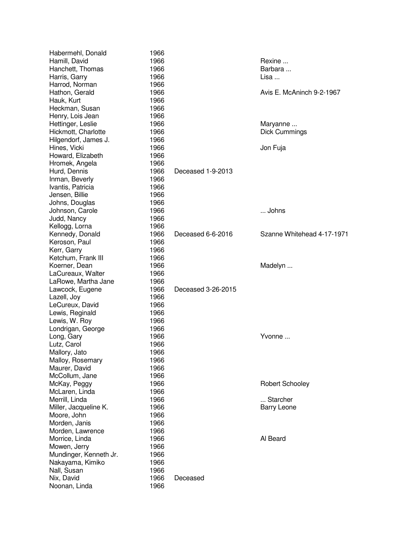| Habermehl, Donald                      | 1966         |                    |                            |
|----------------------------------------|--------------|--------------------|----------------------------|
| Hamill, David                          | 1966         |                    | Rexine                     |
| Hanchett, Thomas                       | 1966         |                    | Barbara                    |
| Harris, Garry                          | 1966         |                    | Lisa                       |
| Harrod, Norman                         | 1966         |                    |                            |
| Hathon, Gerald                         | 1966         |                    | Avis E. McAninch 9-2-1967  |
| Hauk, Kurt                             | 1966         |                    |                            |
| Heckman, Susan                         | 1966         |                    |                            |
| Henry, Lois Jean                       | 1966         |                    |                            |
| Hettinger, Leslie                      | 1966         |                    | Maryanne                   |
| Hickmott, Charlotte                    | 1966         |                    | <b>Dick Cummings</b>       |
| Hilgendorf, James J.                   | 1966         |                    |                            |
| Hines, Vicki                           | 1966         |                    | Jon Fuja                   |
| Howard, Elizabeth                      | 1966         |                    |                            |
| Hromek, Angela                         | 1966         |                    |                            |
| Hurd, Dennis                           | 1966         | Deceased 1-9-2013  |                            |
| Inman, Beverly                         | 1966         |                    |                            |
| Ivantis, Patricia                      | 1966         |                    |                            |
| Jensen, Billie                         | 1966         |                    |                            |
| Johns, Douglas                         | 1966         |                    |                            |
| Johnson, Carole                        | 1966         |                    | Johns                      |
| Judd, Nancy                            | 1966         |                    |                            |
| Kellogg, Lorna                         | 1966         |                    |                            |
| Kennedy, Donald                        | 1966         | Deceased 6-6-2016  | Szanne Whitehead 4-17-1971 |
| Keroson, Paul                          | 1966         |                    |                            |
| Kerr, Garry                            | 1966         |                    |                            |
| Ketchum, Frank III                     | 1966         |                    |                            |
| Koerner, Dean                          | 1966         |                    | Madelyn                    |
| LaCureaux, Walter                      | 1966         |                    |                            |
| LaRowe, Martha Jane                    | 1966         |                    |                            |
| Lawcock, Eugene                        | 1966         | Deceased 3-26-2015 |                            |
| Lazell, Joy                            | 1966         |                    |                            |
| LeCureux, David                        | 1966         |                    |                            |
| Lewis, Reginald                        | 1966         |                    |                            |
| Lewis, W. Roy                          | 1966         |                    |                            |
| Londrigan, George                      | 1966         |                    |                            |
| Long, Gary                             | 1966         |                    | Yvonne                     |
| Lutz, Carol                            | 1966         |                    |                            |
| Mallory, Jato                          | 1966         |                    |                            |
| Malloy, Rosemary                       | 1966         |                    |                            |
| Maurer, David                          | 1966         |                    |                            |
| McCollum, Jane                         | 1966         |                    |                            |
| McKay, Peggy                           | 1966         |                    | <b>Robert Schooley</b>     |
| McLaren, Linda                         | 1966         |                    |                            |
| Merrill, Linda                         | 1966         |                    | Starcher                   |
| Miller, Jacqueline K.                  | 1966         |                    | <b>Barry Leone</b>         |
| Moore, John                            | 1966         |                    |                            |
| Morden, Janis                          | 1966         |                    |                            |
| Morden, Lawrence                       | 1966         |                    |                            |
| Morrice, Linda                         | 1966         |                    | Al Beard                   |
|                                        |              |                    |                            |
| Mowen, Jerry<br>Mundinger, Kenneth Jr. | 1966<br>1966 |                    |                            |
|                                        | 1966         |                    |                            |
| Nakayama, Kimiko<br>Nall, Susan        | 1966         |                    |                            |
|                                        |              |                    |                            |
| Nix, David                             | 1966         | Deceased           |                            |
| Noonan, Linda                          | 1966         |                    |                            |